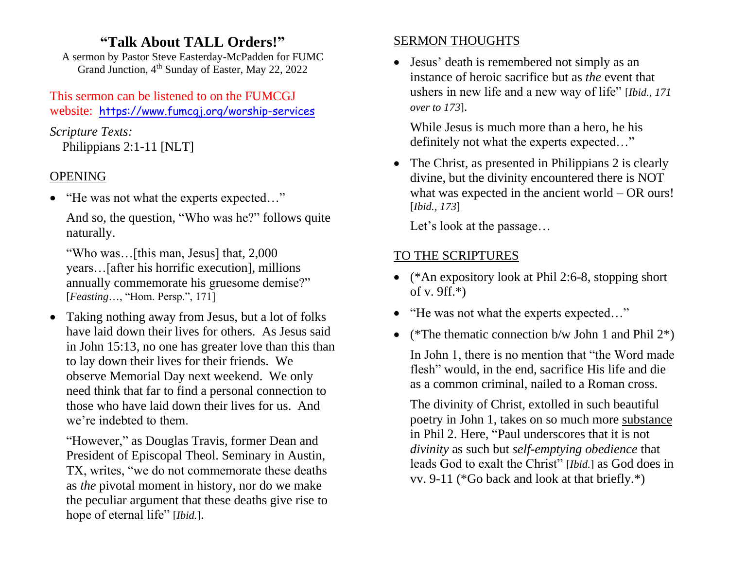## **"Talk About TALL Orders!"**

A sermon by Pastor Steve Easterday-McPadden for FUMC Grand Junction, 4<sup>th</sup> Sunday of Easter, May 22, 2022

### This sermon can be listened to on the FUMCGJ website: https://www.fumcgj.org/worship-services

*Scripture Texts:* Philippians 2:1-11 [NLT]

## OPENING

• "He was not what the experts expected..."

And so, the question, "Who was he?" follows quite naturally.

"Who was…[this man, Jesus] that, 2,000 years…[after his horrific execution], millions annually commemorate his gruesome demise?" [*Feasting*…, "Hom. Persp.", 171]

• Taking nothing away from Jesus, but a lot of folks have laid down their lives for others. As Jesus said in John 15:13, no one has greater love than this than to lay down their lives for their friends. We observe Memorial Day next weekend. We only need think that far to find a personal connection to those who have laid down their lives for us. And we're indebted to them.

"However," as Douglas Travis, former Dean and President of Episcopal Theol. Seminary in Austin, TX, writes, "we do not commemorate these deaths as *the* pivotal moment in history, nor do we make the peculiar argument that these deaths give rise to hope of eternal life" [*Ibid.*].

## SERMON THOUGHTS

• Jesus' death is remembered not simply as an instance of heroic sacrifice but as *the* event that ushers in new life and a new way of life" [*Ibid., 171 over to 173*].

While Jesus is much more than a hero, he his definitely not what the experts expected…"

• The Christ, as presented in Philippians 2 is clearly divine, but the divinity encountered there is NOT what was expected in the ancient world – OR ours! [*Ibid., 173*]

Let's look at the passage…

# TO THE SCRIPTURES

- (\*An expository look at Phil 2:6-8, stopping short of v. 9ff.\*)
- "He was not what the experts expected..."
- (\*The thematic connection b/w John 1 and Phil  $2^*$ )

In John 1, there is no mention that "the Word made flesh" would, in the end, sacrifice His life and die as a common criminal, nailed to a Roman cross.

The divinity of Christ, extolled in such beautiful poetry in John 1, takes on so much more substance in Phil 2. Here, "Paul underscores that it is not *divinity* as such but *self-emptying obedience* that leads God to exalt the Christ" [*Ibid.*] as God does in vv. 9-11 (\*Go back and look at that briefly.\*)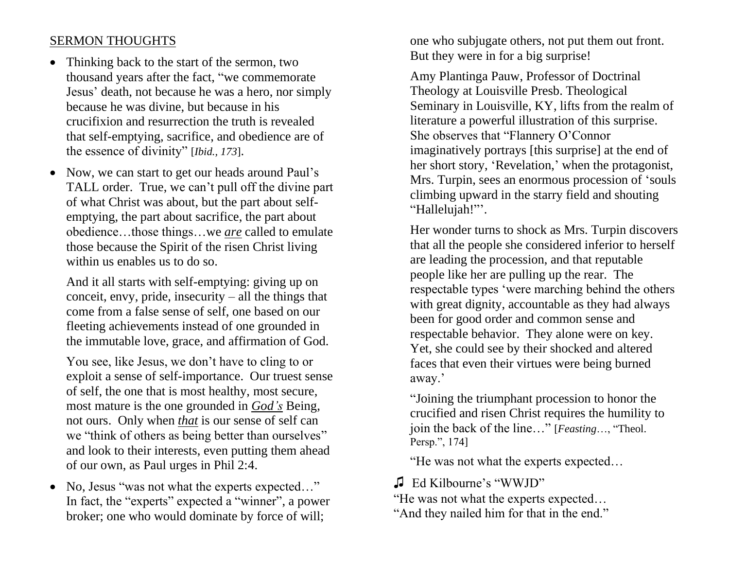### SERMON THOUGHTS

- Thinking back to the start of the sermon, two thousand years after the fact, "we commemorate Jesus' death, not because he was a hero, nor simply because he was divine, but because in his crucifixion and resurrection the truth is revealed that self-emptying, sacrifice, and obedience are of the essence of divinity" [*Ibid., 173*].
- Now, we can start to get our heads around Paul's TALL order. True, we can't pull off the divine part of what Christ was about, but the part about selfemptying, the part about sacrifice, the part about obedience…those things…we *are* called to emulate those because the Spirit of the risen Christ living within us enables us to do so.

And it all starts with self-emptying: giving up on conceit, envy, pride, insecurity  $-$  all the things that come from a false sense of self, one based on our fleeting achievements instead of one grounded in the immutable love, grace, and affirmation of God.

You see, like Jesus, we don't have to cling to or exploit a sense of self-importance. Our truest sense of self, the one that is most healthy, most secure, most mature is the one grounded in *God's* Being, not ours. Only when *that* is our sense of self can we "think of others as being better than ourselves" and look to their interests, even putting them ahead of our own, as Paul urges in Phil 2:4.

• No, Jesus "was not what the experts expected..." In fact, the "experts" expected a "winner", a power broker; one who would dominate by force of will;

one who subjugate others, not put them out front. But they were in for a big surprise!

Amy Plantinga Pauw, Professor of Doctrinal Theology at Louisville Presb. Theological Seminary in Louisville, KY, lifts from the realm of literature a powerful illustration of this surprise. She observes that "Flannery O'Connor imaginatively portrays [this surprise] at the end of her short story, 'Revelation,' when the protagonist, Mrs. Turpin, sees an enormous procession of 'souls climbing upward in the starry field and shouting "Hallelujah!"'.

Her wonder turns to shock as Mrs. Turpin discovers that all the people she considered inferior to herself are leading the procession, and that reputable people like her are pulling up the rear. The respectable types 'were marching behind the others with great dignity, accountable as they had always been for good order and common sense and respectable behavior. They alone were on key. Yet, she could see by their shocked and altered faces that even their virtues were being burned away.'

"Joining the triumphant procession to honor the crucified and risen Christ requires the humility to join the back of the line…" [*Feasting*…, "Theol. Persp.", 174]

"He was not what the experts expected…

## ♫ Ed Kilbourne's "WWJD"

"He was not what the experts expected…

"And they nailed him for that in the end."